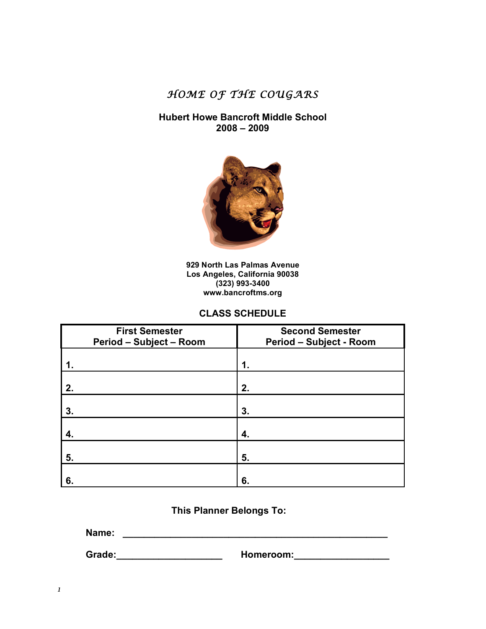*HOME OF THE COUGARS* 

## **Hubert Howe Bancroft Middle School 2008 – 2009**



**929 North Las Palmas Avenue Los Angeles, California 90038 (323) 993-3400 www.bancroftms.org** 

## **CLASS SCHEDULE**

| <b>First Semester</b><br><b>Period - Subject - Room</b> | <b>Second Semester</b><br><b>Period - Subject - Room</b> |
|---------------------------------------------------------|----------------------------------------------------------|
|                                                         | 1.                                                       |
| 2.                                                      | 2.                                                       |
| 3.                                                      | 3.                                                       |
| 4.                                                      | 4.                                                       |
| 5.                                                      | 5.                                                       |
| 6.                                                      | 6.                                                       |

# **This Planner Belongs To:**

**Name: \_\_\_\_\_\_\_\_\_\_\_\_\_\_\_\_\_\_\_\_\_\_\_\_\_\_\_\_\_\_\_\_\_\_\_\_\_\_\_\_\_\_\_\_\_\_\_\_\_\_** 

 **Grade:\_\_\_\_\_\_\_\_\_\_\_\_\_\_\_\_\_\_\_\_ Homeroom:\_\_\_\_\_\_\_\_\_\_\_\_\_\_\_\_\_\_**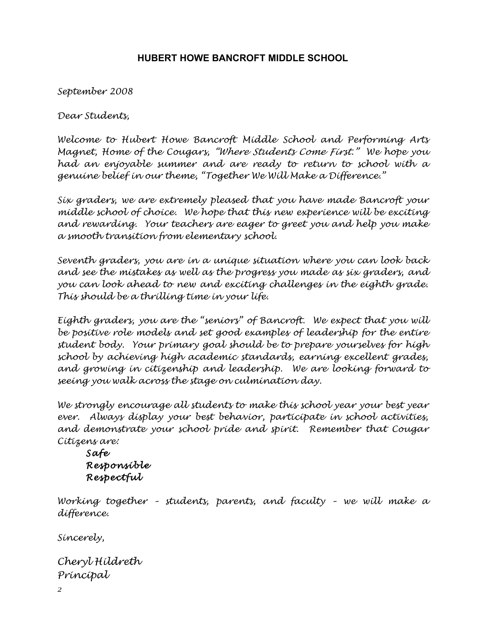# **HUBERT HOWE BANCROFT MIDDLE SCHOOL**

*September 2008* 

*Dear Students,* 

*Welcome to Hubert Howe Bancroft Middle School and Performing Arts Magnet, Home of the Cougars, "Where Students Come First." We hope you had an enjoyable summer and are ready to return to school with a genuine belief in our theme, "Together We Will Make a Difference."* 

*Six graders, we are extremely pleased that you have made Bancroft your middle school of choice. We hope that this new experience will be exciting and rewarding. Your teachers are eager to greet you and help you make a smooth transition from elementary school.* 

*Seventh graders, you are in a unique situation where you can look back and see the mistakes as well as the progress you made as six graders, and you can look ahead to new and exciting challenges in the eighth grade. This should be a thrilling time in your life.* 

*Eighth graders, you are the "seniors" of Bancroft. We expect that you will be positive role models and set good examples of leadership for the entire student body. Your primary goal should be to prepare yourselves for high school by achieving high academic standards, earning excellent grades, and growing in citizenship and leadership. We are looking forward to seeing you walk across the stage on culmination day.* 

*We strongly encourage all students to make this school year your best year ever. Always display your best behavior, participate in school activities, and demonstrate your school pride and spirit. Remember that Cougar Citizens are:* 

*Safe Responsible Respectful* 

*Working together – students, parents, and faculty – we will make a difference.* 

*Sincerely,* 

*Cheryl Hildreth Principal*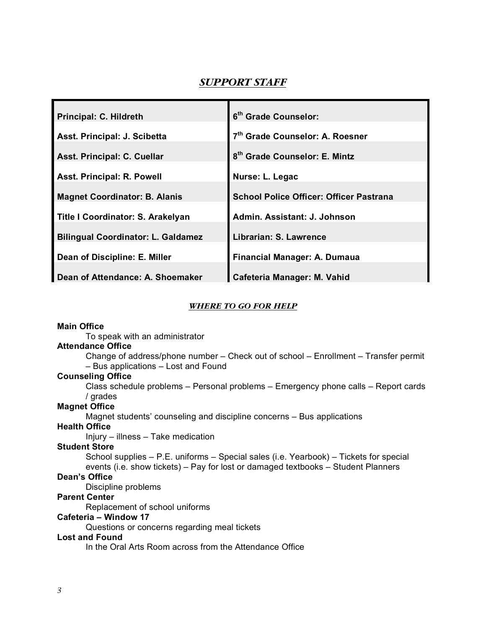# *SUPPORT STAFF*

| Principal: C. Hildreth                    | 6 <sup>th</sup> Grade Counselor:               |
|-------------------------------------------|------------------------------------------------|
| Asst. Principal: J. Scibetta              | 7 <sup>th</sup> Grade Counselor: A. Roesner    |
| Asst. Principal: C. Cuellar               | 8 <sup>th</sup> Grade Counselor: E. Mintz      |
| Asst. Principal: R. Powell                | Nurse: L. Legac                                |
| <b>Magnet Coordinator: B. Alanis</b>      | <b>School Police Officer: Officer Pastrana</b> |
| Title I Coordinator: S. Arakelyan         | Admin. Assistant: J. Johnson                   |
| <b>Bilingual Coordinator: L. Galdamez</b> | Librarian: S. Lawrence                         |
| Dean of Discipline: E. Miller             | Financial Manager: A. Dumaua                   |
| Dean of Attendance: A. Shoemaker          | Cafeteria Manager: M. Vahid                    |

#### *WHERE TO GO FOR HELP*

#### **Main Office**

To speak with an administrator

### **Attendance Office**

Change of address/phone number – Check out of school – Enrollment – Transfer permit – Bus applications – Lost and Found

## **Counseling Office**

Class schedule problems – Personal problems – Emergency phone calls – Report cards / grades

### **Magnet Office**

Magnet students' counseling and discipline concerns – Bus applications

## **Health Office**

Injury – illness – Take medication

#### **Student Store**

School supplies – P.E. uniforms – Special sales (i.e. Yearbook) – Tickets for special events (i.e. show tickets) – Pay for lost or damaged textbooks – Student Planners

## **Dean's Office**

Discipline problems

## **Parent Center**

Replacement of school uniforms

### **Cafeteria – Window 17**

Questions or concerns regarding meal tickets

#### **Lost and Found**

In the Oral Arts Room across from the Attendance Office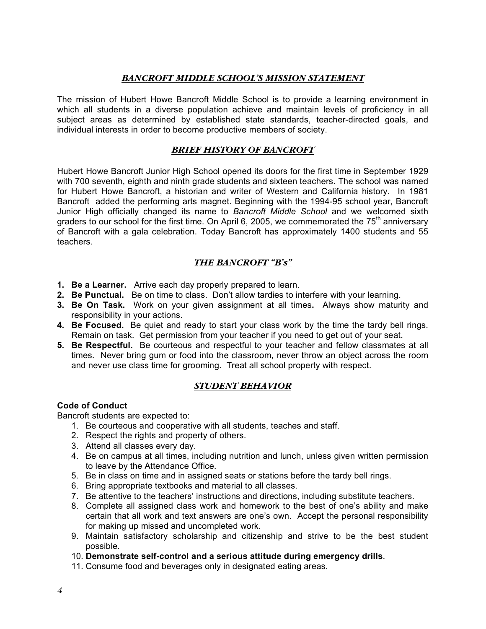## *BANCROFT MIDDLE SCHOOL'S MISSION STATEMENT*

The mission of Hubert Howe Bancroft Middle School is to provide a learning environment in which all students in a diverse population achieve and maintain levels of proficiency in all subject areas as determined by established state standards, teacher-directed goals, and individual interests in order to become productive members of society.

## *BRIEF HISTORY OF BANCROFT*

Hubert Howe Bancroft Junior High School opened its doors for the first time in September 1929 with 700 seventh, eighth and ninth grade students and sixteen teachers. The school was named for Hubert Howe Bancroft, a historian and writer of Western and California history. In 1981 Bancroft added the performing arts magnet. Beginning with the 1994-95 school year, Bancroft Junior High officially changed its name to *Bancroft Middle School* and we welcomed sixth graders to our school for the first time. On April 6, 2005, we commemorated the  $75<sup>th</sup>$  anniversary of Bancroft with a gala celebration. Today Bancroft has approximately 1400 students and 55 teachers.

## *THE BANCROFT "B's"*

- **1. Be a Learner.** Arrive each day properly prepared to learn.
- **2. Be Punctual.** Be on time to class. Don't allow tardies to interfere with your learning.
- **3. Be On Task.** Work on your given assignment at all times**.** Always show maturity and responsibility in your actions.
- **4. Be Focused.** Be quiet and ready to start your class work by the time the tardy bell rings. Remain on task. Get permission from your teacher if you need to get out of your seat.
- **5. Be Respectful.** Be courteous and respectful to your teacher and fellow classmates at all times. Never bring gum or food into the classroom, never throw an object across the room and never use class time for grooming. Treat all school property with respect.

## *STUDENT BEHAVIOR*

## **Code of Conduct**

Bancroft students are expected to:

- 1. Be courteous and cooperative with all students, teaches and staff.
- 2. Respect the rights and property of others.
- 3. Attend all classes every day.
- 4. Be on campus at all times, including nutrition and lunch, unless given written permission to leave by the Attendance Office.
- 5. Be in class on time and in assigned seats or stations before the tardy bell rings.
- 6. Bring appropriate textbooks and material to all classes.
- 7. Be attentive to the teachers' instructions and directions, including substitute teachers.
- 8. Complete all assigned class work and homework to the best of one's ability and make certain that all work and text answers are one's own. Accept the personal responsibility for making up missed and uncompleted work.
- 9. Maintain satisfactory scholarship and citizenship and strive to be the best student possible.
- 10. **Demonstrate self-control and a serious attitude during emergency drills**.
- 11. Consume food and beverages only in designated eating areas.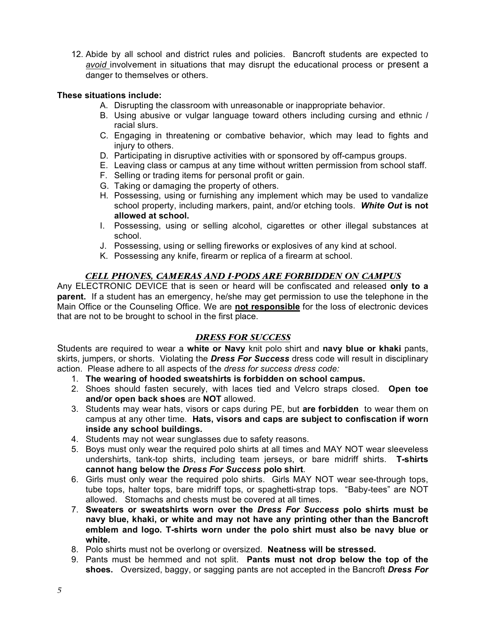12. Abide by all school and district rules and policies. Bancroft students are expected to *avoid* involvement in situations that may disrupt the educational process or present a danger to themselves or others.

## **These situations include:**

- A. Disrupting the classroom with unreasonable or inappropriate behavior.
- B. Using abusive or vulgar language toward others including cursing and ethnic / racial slurs.
- C. Engaging in threatening or combative behavior, which may lead to fights and injury to others.
- D. Participating in disruptive activities with or sponsored by off-campus groups.
- E. Leaving class or campus at any time without written permission from school staff.
- F. Selling or trading items for personal profit or gain.
- G. Taking or damaging the property of others.
- H. Possessing, using or furnishing any implement which may be used to vandalize school property, including markers, paint, and/or etching tools. *White Out* **is not allowed at school.**
- I. Possessing, using or selling alcohol, cigarettes or other illegal substances at school.
- J. Possessing, using or selling fireworks or explosives of any kind at school.
- K. Possessing any knife, firearm or replica of a firearm at school.

## *CELL PHONES, CAMERAS AND I-PODS ARE FORBIDDEN ON CAMPUS*

Any ELECTRONIC DEVICE that is seen or heard will be confiscated and released **only to a parent.** If a student has an emergency, he/she may get permission to use the telephone in the Main Office or the Counseling Office. We are **not responsible** for the loss of electronic devices that are not to be brought to school in the first place.

## *DRESS FOR SUCCESS*

Students are required to wear a **white or Navy** knit polo shirt and **navy blue or khaki** pants, skirts, jumpers, or shorts. Violating the *Dress For Success* dress code will result in disciplinary action. Please adhere to all aspects of the *dress for success dress code:*

- 1. **The wearing of hooded sweatshirts is forbidden on school campus.**
- 2. Shoes should fasten securely, with laces tied and Velcro straps closed. **Open toe and/or open back shoes** are **NOT** allowed.
- 3. Students may wear hats, visors or caps during PE, but **are forbidden** to wear them on campus at any other time. **Hats, visors and caps are subject to confiscation if worn inside any school buildings.**
- 4. Students may not wear sunglasses due to safety reasons.
- 5. Boys must only wear the required polo shirts at all times and MAY NOT wear sleeveless undershirts, tank-top shirts, including team jerseys, or bare midriff shirts. **T-shirts cannot hang below the** *Dress For Success* **polo shirt**.
- 6. Girls must only wear the required polo shirts. Girls MAY NOT wear see-through tops, tube tops, halter tops, bare midriff tops, or spaghetti-strap tops. "Baby-tees" are NOT allowed. Stomachs and chests must be covered at all times.
- 7. **Sweaters or sweatshirts worn over the** *Dress For Success* **polo shirts must be navy blue, khaki, or white and may not have any printing other than the Bancroft emblem and logo. T-shirts worn under the polo shirt must also be navy blue or white.**
- 8. Polo shirts must not be overlong or oversized. **Neatness will be stressed.**
- 9. Pants must be hemmed and not split. **Pants must not drop below the top of the shoes.** Oversized, baggy, or sagging pants are not accepted in the Bancroft *Dress For*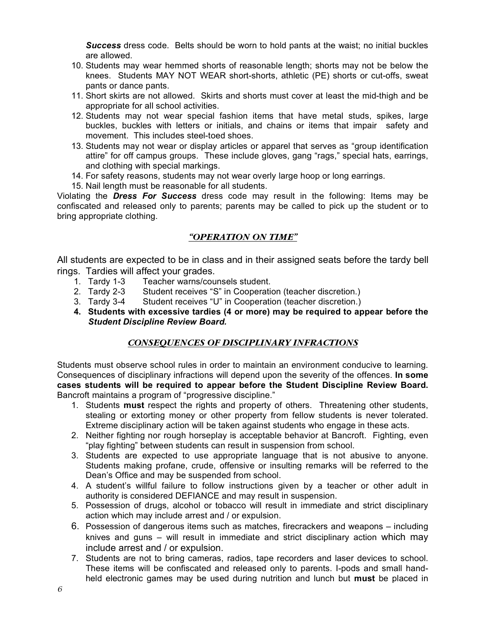*Success* dress code. Belts should be worn to hold pants at the waist; no initial buckles are allowed.

- 10. Students may wear hemmed shorts of reasonable length; shorts may not be below the knees. Students MAY NOT WEAR short-shorts, athletic (PE) shorts or cut-offs, sweat pants or dance pants.
- 11. Short skirts are not allowed. Skirts and shorts must cover at least the mid-thigh and be appropriate for all school activities.
- 12. Students may not wear special fashion items that have metal studs, spikes, large buckles, buckles with letters or initials, and chains or items that impair safety and movement. This includes steel-toed shoes.
- 13. Students may not wear or display articles or apparel that serves as "group identification attire" for off campus groups. These include gloves, gang "rags," special hats, earrings, and clothing with special markings.
- 14. For safety reasons, students may not wear overly large hoop or long earrings.
- 15. Nail length must be reasonable for all students.

Violating the *Dress For Success* dress code may result in the following: Items may be confiscated and released only to parents; parents may be called to pick up the student or to bring appropriate clothing.

## *"OPERATION ON TIME"*

All students are expected to be in class and in their assigned seats before the tardy bell rings. Tardies will affect your grades.<br>1. Tardy 1-3 Teacher warns/cou

- Teacher warns/counsels student.
- 
- 2. Tardy 2-3 Student receives "S" in Cooperation (teacher discretion.)<br>3. Tardy 3-4 Student receives "U" in Cooperation (teacher discretion.) Student receives "U" in Cooperation (teacher discretion.)
- **4. Students with excessive tardies (4 or more) may be required to appear before the**  *Student Discipline Review Board.*

## *CONSEQUENCES OF DISCIPLINARY INFRACTIONS*

Students must observe school rules in order to maintain an environment conducive to learning. Consequences of disciplinary infractions will depend upon the severity of the offences. **In some cases students will be required to appear before the Student Discipline Review Board.** Bancroft maintains a program of "progressive discipline."

- 1. Students **must** respect the rights and property of others. Threatening other students, stealing or extorting money or other property from fellow students is never tolerated. Extreme disciplinary action will be taken against students who engage in these acts.
- 2. Neither fighting nor rough horseplay is acceptable behavior at Bancroft. Fighting, even "play fighting" between students can result in suspension from school.
- 3. Students are expected to use appropriate language that is not abusive to anyone. Students making profane, crude, offensive or insulting remarks will be referred to the Dean's Office and may be suspended from school.
- 4. A student's willful failure to follow instructions given by a teacher or other adult in authority is considered DEFIANCE and may result in suspension.
- 5. Possession of drugs, alcohol or tobacco will result in immediate and strict disciplinary action which may include arrest and / or expulsion.
- 6. Possession of dangerous items such as matches, firecrackers and weapons including knives and guns – will result in immediate and strict disciplinary action which may include arrest and / or expulsion.
- 7. Students are not to bring cameras, radios, tape recorders and laser devices to school. These items will be confiscated and released only to parents. I-pods and small handheld electronic games may be used during nutrition and lunch but **must** be placed in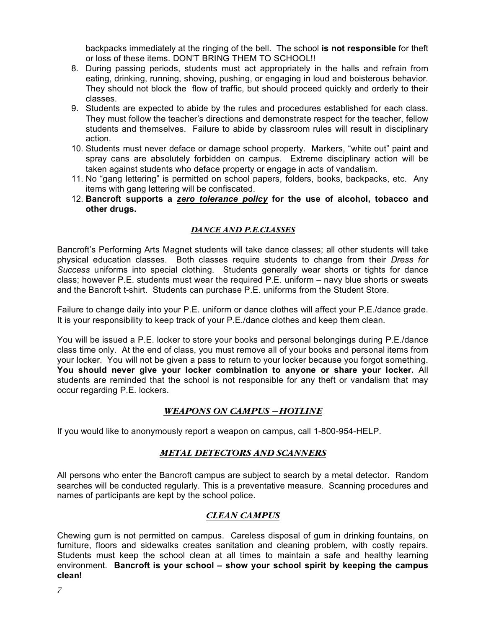backpacks immediately at the ringing of the bell. The school **is not responsible** for theft or loss of these items. DON'T BRING THEM TO SCHOOL!!

- 8. During passing periods, students must act appropriately in the halls and refrain from eating, drinking, running, shoving, pushing, or engaging in loud and boisterous behavior. They should not block the flow of traffic, but should proceed quickly and orderly to their classes.
- 9. Students are expected to abide by the rules and procedures established for each class. They must follow the teacher's directions and demonstrate respect for the teacher, fellow students and themselves. Failure to abide by classroom rules will result in disciplinary action.
- 10. Students must never deface or damage school property. Markers, "white out" paint and spray cans are absolutely forbidden on campus. Extreme disciplinary action will be taken against students who deface property or engage in acts of vandalism.
- 11. No "gang lettering" is permitted on school papers, folders, books, backpacks, etc. Any items with gang lettering will be confiscated.
- 12. **Bancroft supports a** *zero tolerance policy* **for the use of alcohol, tobacco and other drugs.**

## *DANCE AND P.E.CLASSES*

Bancroft's Performing Arts Magnet students will take dance classes; all other students will take physical education classes. Both classes require students to change from their *Dress for Success* uniforms into special clothing. Students generally wear shorts or tights for dance class; however P.E. students must wear the required P.E. uniform – navy blue shorts or sweats and the Bancroft t-shirt. Students can purchase P.E. uniforms from the Student Store.

Failure to change daily into your P.E. uniform or dance clothes will affect your P.E./dance grade. It is your responsibility to keep track of your P.E./dance clothes and keep them clean.

You will be issued a P.E. locker to store your books and personal belongings during P.E./dance class time only. At the end of class, you must remove all of your books and personal items from your locker. You will not be given a pass to return to your locker because you forgot something. **You should never give your locker combination to anyone or share your locker.** All students are reminded that the school is not responsible for any theft or vandalism that may occur regarding P.E. lockers.

## *WEAPONS ON CAMPUS – HOTLINE*

If you would like to anonymously report a weapon on campus, call 1-800-954-HELP.

## *METAL DETECTORS AND SCANNERS*

All persons who enter the Bancroft campus are subject to search by a metal detector. Random searches will be conducted regularly. This is a preventative measure. Scanning procedures and names of participants are kept by the school police.

## *CLEAN CAMPUS*

Chewing gum is not permitted on campus. Careless disposal of gum in drinking fountains, on furniture, floors and sidewalks creates sanitation and cleaning problem, with costly repairs. Students must keep the school clean at all times to maintain a safe and healthy learning environment. **Bancroft is your school – show your school spirit by keeping the campus clean!**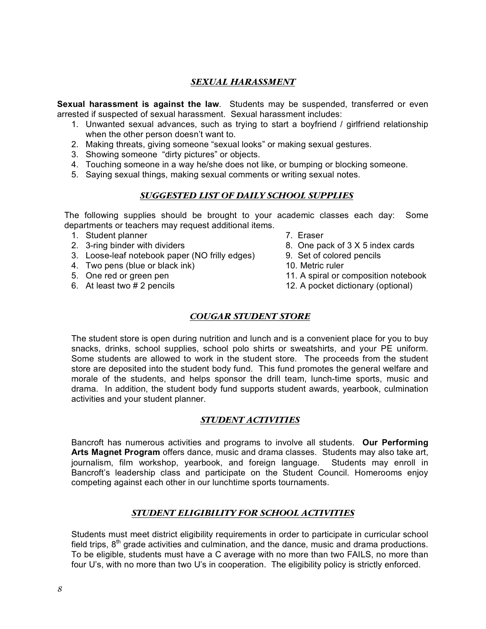## *SEXUAL HARASSMENT*

**Sexual harassment is against the law**. Students may be suspended, transferred or even arrested if suspected of sexual harassment. Sexual harassment includes:

- 1. Unwanted sexual advances, such as trying to start a boyfriend / girlfriend relationship when the other person doesn't want to.
- 2. Making threats, giving someone "sexual looks" or making sexual gestures.
- 3. Showing someone "dirty pictures" or objects.
- 4. Touching someone in a way he/she does not like, or bumping or blocking someone.
- 5. Saying sexual things, making sexual comments or writing sexual notes.

### *SUGGESTED LIST OF DAILY SCHOOL SUPPLIES*

The following supplies should be brought to your academic classes each day: Some departments or teachers may request additional items.

- 1. Student planner and the control of the Student planner and the T. Eraser
- 
- 3. Loose-leaf notebook paper (NO frilly edges) 9. Set of colored pencils
- 4. Two pens (blue or black ink) 10. Metric ruler
- 
- 
- 
- 2. 3-ring binder with dividers example 3. One pack of 3 X 5 index cards
	-
	-
- 5. One red or green pen 11. A spiral or composition notebook
- 6. At least two # 2 pencils 12. A pocket dictionary (optional)

## *COUGAR STUDENT STORE*

The student store is open during nutrition and lunch and is a convenient place for you to buy snacks, drinks, school supplies, school polo shirts or sweatshirts, and your PE uniform. Some students are allowed to work in the student store. The proceeds from the student store are deposited into the student body fund. This fund promotes the general welfare and morale of the students, and helps sponsor the drill team, lunch-time sports, music and drama. In addition, the student body fund supports student awards, yearbook, culmination activities and your student planner.

#### *STUDENT ACTIVITIES*

Bancroft has numerous activities and programs to involve all students. **Our Performing Arts Magnet Program** offers dance, music and drama classes. Students may also take art, journalism, film workshop, yearbook, and foreign language. Students may enroll in Bancroft's leadership class and participate on the Student Council. Homerooms enjoy competing against each other in our lunchtime sports tournaments.

## *STUDENT ELIGIBILITY FOR SCHOOL ACTIVITIES*

Students must meet district eligibility requirements in order to participate in curricular school field trips,  $8<sup>th</sup>$  grade activities and culmination, and the dance, music and drama productions. To be eligible, students must have a C average with no more than two FAILS, no more than four U's, with no more than two U's in cooperation. The eligibility policy is strictly enforced.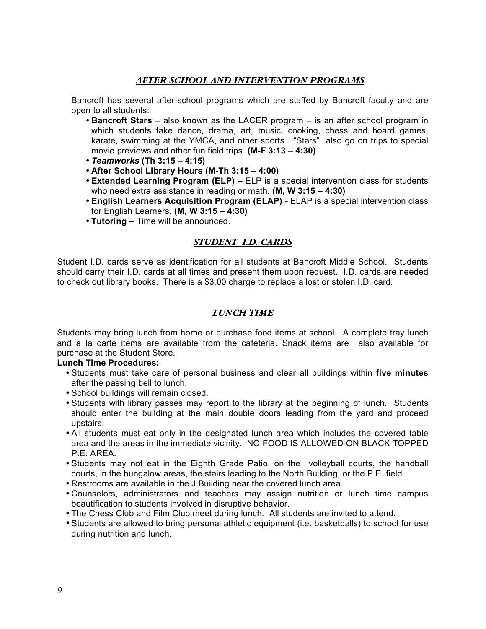## *AFTER SCHOOL AND INTERVENTION PROGRAMS*

Bancroft has several after-school programs which are staffed by Bancroft faculty and are open to all students:

- **Bancroft Stars** also known as the LACER program is an after school program in which students take dance, drama, art, music, cooking, chess and board games, karate, swimming at the YMCA, and other sports. "Stars" also go on trips to special movie previews and other fun field trips. **(M-F 3:13 – 4:30)**
- *Teamworks* **(Th 3:15 4:15)**
- **After School Library Hours (M-Th 3:15 4:00)**
- **Extended Learning Program (ELP)**  ELP is a special intervention class for students who need extra assistance in reading or math. **(M, W 3:15 – 4:30)**
- **English Learners Acquisition Program (ELAP)** ELAP is a special intervention class for English Learners. **(M, W 3:15 – 4:30)**
- **Tutoring**  Time will be announced.

## *STUDENT I.D. CARDS*

Student I.D. cards serve as identification for all students at Bancroft Middle School. Students should carry their I.D. cards at all times and present them upon request. I.D. cards are needed to check out library books. There is a \$3.00 charge to replace a lost or stolen I.D. card.

## *LUNCH TIME*

Students may bring lunch from home or purchase food items at school. A complete tray lunch and a la carte items are available from the cafeteria. Snack items are also available for purchase at the Student Store.

#### **Lunch Time Procedures:**

- Students must take care of personal business and clear all buildings within **five minutes**  after the passing bell to lunch.
- School buildings will remain closed.
- Students with library passes may report to the library at the beginning of lunch. Students should enter the building at the main double doors leading from the yard and proceed upstairs.
- All students must eat only in the designated lunch area which includes the covered table area and the areas in the immediate vicinity. NO FOOD IS ALLOWED ON BLACK TOPPED P.E. AREA.
- Students may not eat in the Eighth Grade Patio, on the volleyball courts, the handball courts, in the bungalow areas, the stairs leading to the North Building, or the P.E. field.
- Restrooms are available in the J Building near the covered lunch area.
- Counselors, administrators and teachers may assign nutrition or lunch time campus beautification to students involved in disruptive behavior.
- The Chess Club and Film Club meet during lunch. All students are invited to attend.
- •Students are allowed to bring personal athletic equipment (i.e. basketballs) to school for use during nutrition and lunch.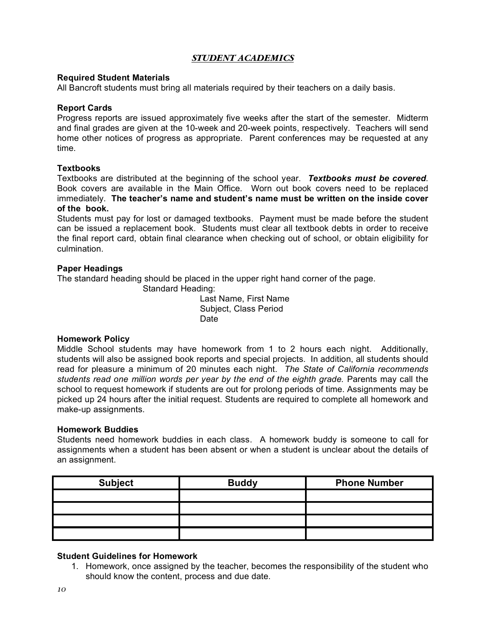## *STUDENT ACADEMICS*

#### **Required Student Materials**

All Bancroft students must bring all materials required by their teachers on a daily basis.

#### **Report Cards**

Progress reports are issued approximately five weeks after the start of the semester. Midterm and final grades are given at the 10-week and 20-week points, respectively. Teachers will send home other notices of progress as appropriate. Parent conferences may be requested at any time.

#### **Textbooks**

Textbooks are distributed at the beginning of the school year. *Textbooks must be covered*. Book covers are available in the Main Office. Worn out book covers need to be replaced immediately. **The teacher's name and student's name must be written on the inside cover of the book.** 

Students must pay for lost or damaged textbooks. Payment must be made before the student can be issued a replacement book. Students must clear all textbook debts in order to receive the final report card, obtain final clearance when checking out of school, or obtain eligibility for culmination.

#### **Paper Headings**

The standard heading should be placed in the upper right hand corner of the page.

Standard Heading:

 Last Name, First Name Subject, Class Period **Date Date Date** 

#### **Homework Policy**

Middle School students may have homework from 1 to 2 hours each night. Additionally, students will also be assigned book reports and special projects. In addition, all students should read for pleasure a minimum of 20 minutes each night. *The State of California recommends students read one million words per year by the end of the eighth grade.* Parents may call the school to request homework if students are out for prolong periods of time. Assignments may be picked up 24 hours after the initial request. Students are required to complete all homework and make-up assignments.

#### **Homework Buddies**

Students need homework buddies in each class. A homework buddy is someone to call for assignments when a student has been absent or when a student is unclear about the details of an assignment.

| <b>Subject</b> | <b>Buddy</b> | <b>Phone Number</b> |  |
|----------------|--------------|---------------------|--|
|                |              |                     |  |
|                |              |                     |  |
|                |              |                     |  |
|                |              |                     |  |

#### **Student Guidelines for Homework**

1. Homework, once assigned by the teacher, becomes the responsibility of the student who should know the content, process and due date.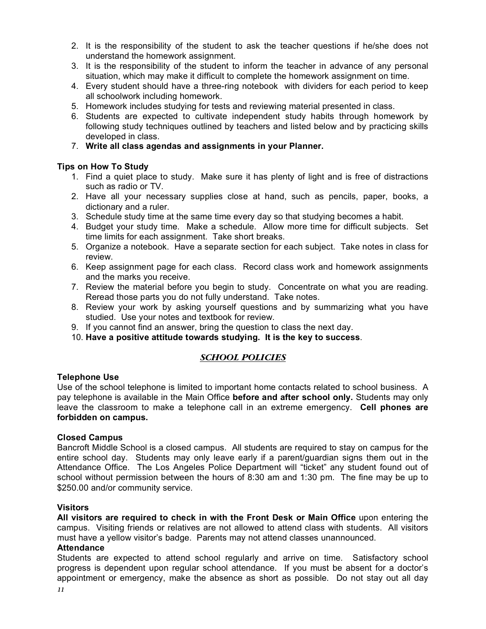- 2. It is the responsibility of the student to ask the teacher questions if he/she does not understand the homework assignment.
- 3. It is the responsibility of the student to inform the teacher in advance of any personal situation, which may make it difficult to complete the homework assignment on time.
- 4. Every student should have a three-ring notebook with dividers for each period to keep all schoolwork including homework.
- 5. Homework includes studying for tests and reviewing material presented in class.
- 6. Students are expected to cultivate independent study habits through homework by following study techniques outlined by teachers and listed below and by practicing skills developed in class.
- 7. **Write all class agendas and assignments in your Planner.**

### **Tips on How To Study**

- 1. Find a quiet place to study. Make sure it has plenty of light and is free of distractions such as radio or TV.
- 2. Have all your necessary supplies close at hand, such as pencils, paper, books, a dictionary and a ruler.
- 3. Schedule study time at the same time every day so that studying becomes a habit.
- 4. Budget your study time. Make a schedule. Allow more time for difficult subjects. Set time limits for each assignment. Take short breaks.
- 5. Organize a notebook. Have a separate section for each subject. Take notes in class for review.
- 6. Keep assignment page for each class. Record class work and homework assignments and the marks you receive.
- 7. Review the material before you begin to study. Concentrate on what you are reading. Reread those parts you do not fully understand. Take notes.
- 8. Review your work by asking yourself questions and by summarizing what you have studied. Use your notes and textbook for review.
- 9. If you cannot find an answer, bring the question to class the next day.
- 10. **Have a positive attitude towards studying. It is the key to success**.

## *SCHOOL POLICIES*

#### **Telephone Use**

Use of the school telephone is limited to important home contacts related to school business. A pay telephone is available in the Main Office **before and after school only.** Students may only leave the classroom to make a telephone call in an extreme emergency. **Cell phones are forbidden on campus.** 

#### **Closed Campus**

Bancroft Middle School is a closed campus. All students are required to stay on campus for the entire school day. Students may only leave early if a parent/guardian signs them out in the Attendance Office. The Los Angeles Police Department will "ticket" any student found out of school without permission between the hours of 8:30 am and 1:30 pm. The fine may be up to \$250.00 and/or community service.

#### **Visitors**

**All visitors are required to check in with the Front Desk or Main Office** upon entering the campus. Visiting friends or relatives are not allowed to attend class with students. All visitors must have a yellow visitor's badge. Parents may not attend classes unannounced.

#### **Attendance**

Students are expected to attend school regularly and arrive on time. Satisfactory school progress is dependent upon regular school attendance. If you must be absent for a doctor's appointment or emergency, make the absence as short as possible. Do not stay out all day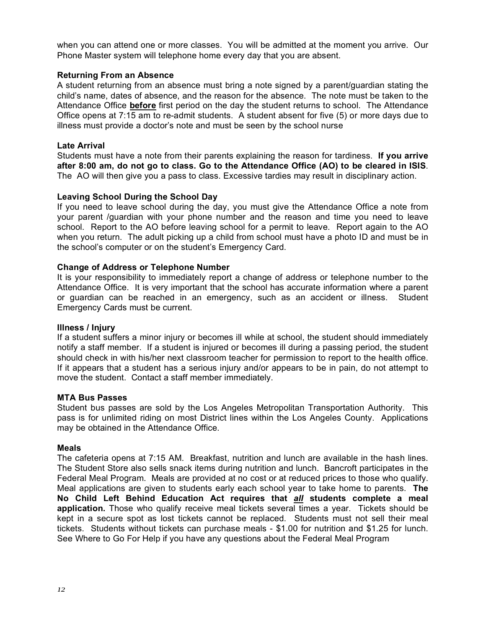when you can attend one or more classes. You will be admitted at the moment you arrive. Our Phone Master system will telephone home every day that you are absent.

## **Returning From an Absence**

A student returning from an absence must bring a note signed by a parent/guardian stating the child's name, dates of absence, and the reason for the absence. The note must be taken to the Attendance Office **before** first period on the day the student returns to school. The Attendance Office opens at 7:15 am to re-admit students. A student absent for five (5) or more days due to illness must provide a doctor's note and must be seen by the school nurse

### **Late Arrival**

Students must have a note from their parents explaining the reason for tardiness. **If you arrive after 8:00 am, do not go to class. Go to the Attendance Office (AO) to be cleared in ISIS**. The AO will then give you a pass to class. Excessive tardies may result in disciplinary action.

### **Leaving School During the School Day**

If you need to leave school during the day, you must give the Attendance Office a note from your parent /guardian with your phone number and the reason and time you need to leave school. Report to the AO before leaving school for a permit to leave. Report again to the AO when you return. The adult picking up a child from school must have a photo ID and must be in the school's computer or on the student's Emergency Card.

#### **Change of Address or Telephone Number**

It is your responsibility to immediately report a change of address or telephone number to the Attendance Office. It is very important that the school has accurate information where a parent or guardian can be reached in an emergency, such as an accident or illness. Student Emergency Cards must be current.

#### **Illness / Injury**

If a student suffers a minor injury or becomes ill while at school, the student should immediately notify a staff member. If a student is injured or becomes ill during a passing period, the student should check in with his/her next classroom teacher for permission to report to the health office. If it appears that a student has a serious injury and/or appears to be in pain, do not attempt to move the student. Contact a staff member immediately.

#### **MTA Bus Passes**

Student bus passes are sold by the Los Angeles Metropolitan Transportation Authority. This pass is for unlimited riding on most District lines within the Los Angeles County. Applications may be obtained in the Attendance Office.

#### **Meals**

The cafeteria opens at 7:15 AM. Breakfast, nutrition and lunch are available in the hash lines. The Student Store also sells snack items during nutrition and lunch. Bancroft participates in the Federal Meal Program. Meals are provided at no cost or at reduced prices to those who qualify. Meal applications are given to students early each school year to take home to parents. **The No Child Left Behind Education Act requires that** *all* **students complete a meal application.** Those who qualify receive meal tickets several times a year. Tickets should be kept in a secure spot as lost tickets cannot be replaced. Students must not sell their meal tickets. Students without tickets can purchase meals - \$1.00 for nutrition and \$1.25 for lunch. See Where to Go For Help if you have any questions about the Federal Meal Program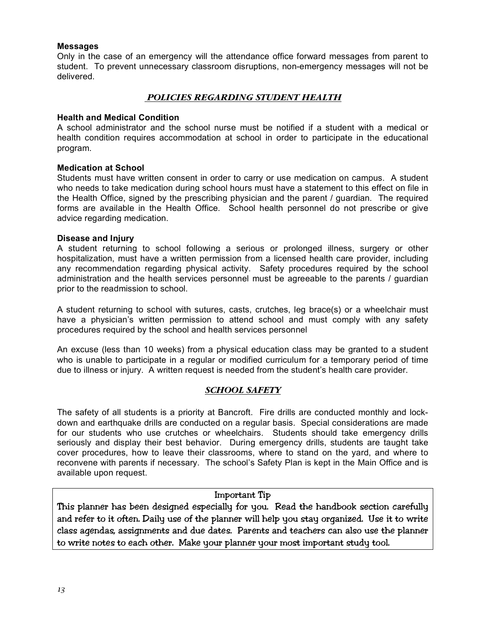### **Messages**

Only in the case of an emergency will the attendance office forward messages from parent to student. To prevent unnecessary classroom disruptions, non-emergency messages will not be delivered.

## *POLICIES REGARDING STUDENT HEALTH*

#### **Health and Medical Condition**

A school administrator and the school nurse must be notified if a student with a medical or health condition requires accommodation at school in order to participate in the educational program.

### **Medication at School**

Students must have written consent in order to carry or use medication on campus. A student who needs to take medication during school hours must have a statement to this effect on file in the Health Office, signed by the prescribing physician and the parent / guardian. The required forms are available in the Health Office. School health personnel do not prescribe or give advice regarding medication.

#### **Disease and Injury**

A student returning to school following a serious or prolonged illness, surgery or other hospitalization, must have a written permission from a licensed health care provider, including any recommendation regarding physical activity. Safety procedures required by the school administration and the health services personnel must be agreeable to the parents / guardian prior to the readmission to school.

A student returning to school with sutures, casts, crutches, leg brace(s) or a wheelchair must have a physician's written permission to attend school and must comply with any safety procedures required by the school and health services personnel

An excuse (less than 10 weeks) from a physical education class may be granted to a student who is unable to participate in a regular or modified curriculum for a temporary period of time due to illness or injury. A written request is needed from the student's health care provider.

## *SCHOOL SAFETY*

The safety of all students is a priority at Bancroft. Fire drills are conducted monthly and lockdown and earthquake drills are conducted on a regular basis. Special considerations are made for our students who use crutches or wheelchairs. Students should take emergency drills seriously and display their best behavior. During emergency drills, students are taught take cover procedures, how to leave their classrooms, where to stand on the yard, and where to reconvene with parents if necessary. The school's Safety Plan is kept in the Main Office and is available upon request.

### Important Tip

This planner has been designed especially for you. Read the handbook section carefully and refer to it often. Daily use of the planner will help you stay organized. Use it to write class agendas, assignments and due dates. Parents and teachers can also use the planner to write notes to each other. Make your planner your most important study tool.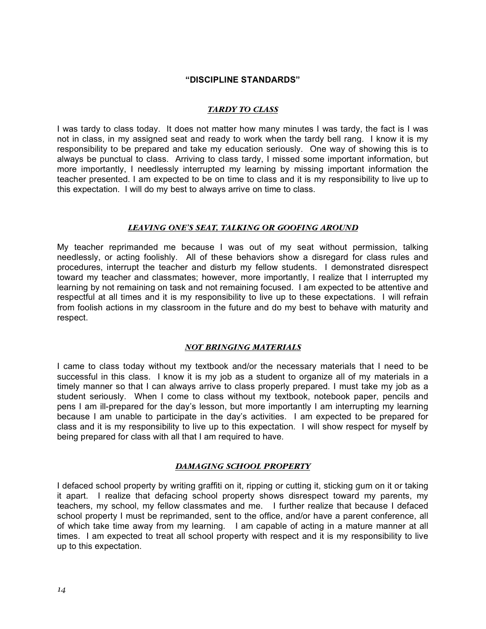#### **"DISCIPLINE STANDARDS"**

#### *TARDY TO CLASS*

I was tardy to class today. It does not matter how many minutes I was tardy, the fact is I was not in class, in my assigned seat and ready to work when the tardy bell rang. I know it is my responsibility to be prepared and take my education seriously. One way of showing this is to always be punctual to class. Arriving to class tardy, I missed some important information, but more importantly, I needlessly interrupted my learning by missing important information the teacher presented. I am expected to be on time to class and it is my responsibility to live up to this expectation. I will do my best to always arrive on time to class.

#### *LEAVING ONE'S SEAT, TALKING OR GOOFING AROUND*

My teacher reprimanded me because I was out of my seat without permission, talking needlessly, or acting foolishly. All of these behaviors show a disregard for class rules and procedures, interrupt the teacher and disturb my fellow students. I demonstrated disrespect toward my teacher and classmates; however, more importantly, I realize that I interrupted my learning by not remaining on task and not remaining focused. I am expected to be attentive and respectful at all times and it is my responsibility to live up to these expectations. I will refrain from foolish actions in my classroom in the future and do my best to behave with maturity and respect.

#### *NOT BRINGING MATERIALS*

I came to class today without my textbook and/or the necessary materials that I need to be successful in this class. I know it is my job as a student to organize all of my materials in a timely manner so that I can always arrive to class properly prepared. I must take my job as a student seriously. When I come to class without my textbook, notebook paper, pencils and pens I am ill-prepared for the day's lesson, but more importantly I am interrupting my learning because I am unable to participate in the day's activities. I am expected to be prepared for class and it is my responsibility to live up to this expectation. I will show respect for myself by being prepared for class with all that I am required to have.

#### *DAMAGING SCHOOL PROPERTY*

I defaced school property by writing graffiti on it, ripping or cutting it, sticking gum on it or taking it apart. I realize that defacing school property shows disrespect toward my parents, my teachers, my school, my fellow classmates and me. I further realize that because I defaced school property I must be reprimanded, sent to the office, and/or have a parent conference, all of which take time away from my learning. I am capable of acting in a mature manner at all times. I am expected to treat all school property with respect and it is my responsibility to live up to this expectation.